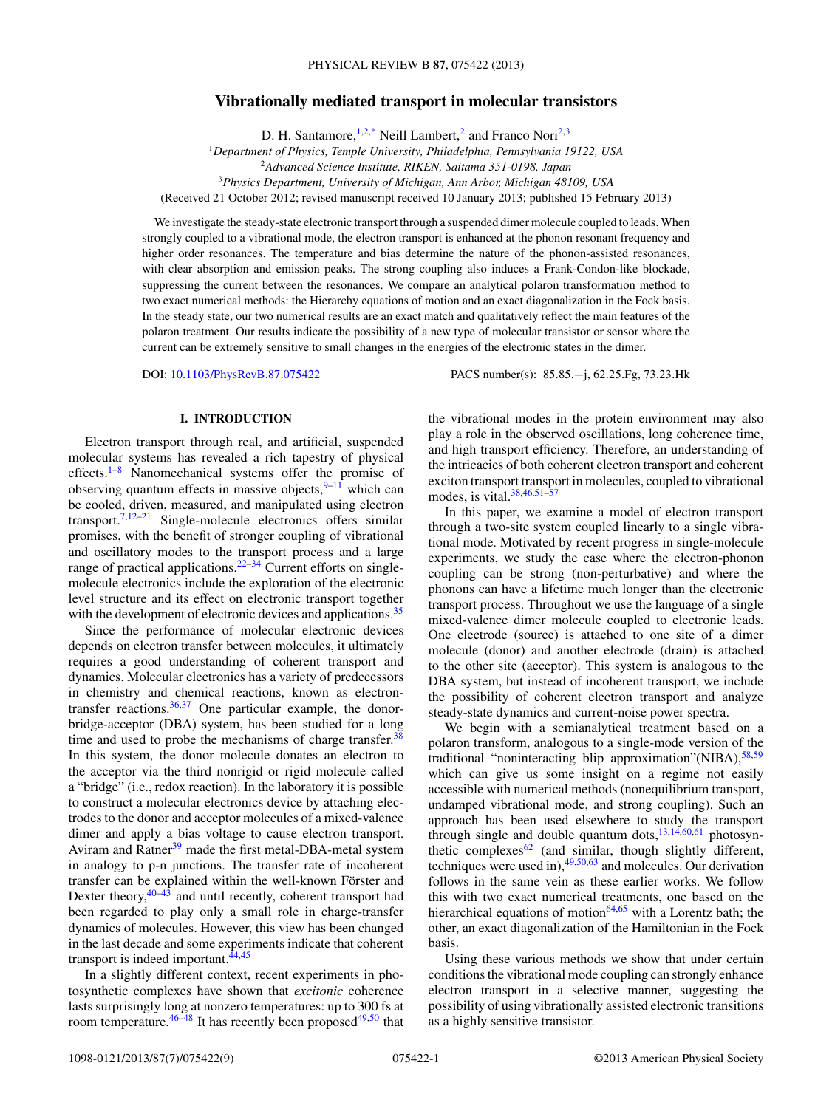# **Vibrationally mediated transport in molecular transistors**

D. H. Santamore,  $1,2,*$  $1,2,*$  Neill Lambert,<sup>2</sup> and Franco Nori<sup>2,3</sup>

<sup>1</sup>*Department of Physics, Temple University, Philadelphia, Pennsylvania 19122, USA*

<sup>2</sup>*Advanced Science Institute, RIKEN, Saitama 351-0198, Japan*

<sup>3</sup>*Physics Department, University of Michigan, Ann Arbor, Michigan 48109, USA*

(Received 21 October 2012; revised manuscript received 10 January 2013; published 15 February 2013)

We investigate the steady-state electronic transport through a suspended dimer molecule coupled to leads. When strongly coupled to a vibrational mode, the electron transport is enhanced at the phonon resonant frequency and higher order resonances. The temperature and bias determine the nature of the phonon-assisted resonances, with clear absorption and emission peaks. The strong coupling also induces a Frank-Condon-like blockade, suppressing the current between the resonances. We compare an analytical polaron transformation method to two exact numerical methods: the Hierarchy equations of motion and an exact diagonalization in the Fock basis. In the steady state, our two numerical results are an exact match and qualitatively reflect the main features of the polaron treatment. Our results indicate the possibility of a new type of molecular transistor or sensor where the current can be extremely sensitive to small changes in the energies of the electronic states in the dimer.

DOI: [10.1103/PhysRevB.87.075422](http://dx.doi.org/10.1103/PhysRevB.87.075422) PACS number(s): 85*.*85*.*+j, 62*.*25*.*Fg, 73*.*23*.*Hk

# **I. INTRODUCTION**

Electron transport through real, and artificial, suspended molecular systems has revealed a rich tapestry of physical effects[.1–8](#page-7-0) Nanomechanical systems offer the promise of observing quantum effects in massive objects,  $9-11$  which can be cooled, driven, measured, and manipulated using electron transport.<sup>7,12–21</sup> Single-molecule electronics offers similar promises, with the benefit of stronger coupling of vibrational and oscillatory modes to the transport process and a large range of practical applications.<sup>[22](#page-7-0)[–34](#page-8-0)</sup> Current efforts on singlemolecule electronics include the exploration of the electronic level structure and its effect on electronic transport together with the development of electronic devices and applications.<sup>[35](#page-8-0)</sup>

Since the performance of molecular electronic devices depends on electron transfer between molecules, it ultimately requires a good understanding of coherent transport and dynamics. Molecular electronics has a variety of predecessors in chemistry and chemical reactions, known as electrontransfer reactions.[36,37](#page-8-0) One particular example, the donorbridge-acceptor (DBA) system, has been studied for a long time and used to probe the mechanisms of charge transfer.<sup>[38](#page-8-0)</sup> In this system, the donor molecule donates an electron to the acceptor via the third nonrigid or rigid molecule called a "bridge" (i.e., redox reaction). In the laboratory it is possible to construct a molecular electronics device by attaching electrodes to the donor and acceptor molecules of a mixed-valence dimer and apply a bias voltage to cause electron transport. Aviram and Ratner<sup>[39](#page-8-0)</sup> made the first metal-DBA-metal system in analogy to p-n junctions. The transfer rate of incoherent transfer can be explained within the well-known Förster and Dexter theory,<sup>[40–43](#page-8-0)</sup> and until recently, coherent transport had been regarded to play only a small role in charge-transfer dynamics of molecules. However, this view has been changed in the last decade and some experiments indicate that coherent transport is indeed important.<sup>44,45</sup>

In a slightly different context, recent experiments in photosynthetic complexes have shown that *excitonic* coherence lasts surprisingly long at nonzero temperatures: up to 300 fs at room temperature.  $46-48$  It has recently been proposed  $49,50$  that the vibrational modes in the protein environment may also play a role in the observed oscillations, long coherence time, and high transport efficiency. Therefore, an understanding of the intricacies of both coherent electron transport and coherent exciton transport transport in molecules, coupled to vibrational modes, is vital. $38,46,51-57$ 

In this paper, we examine a model of electron transport through a two-site system coupled linearly to a single vibrational mode. Motivated by recent progress in single-molecule experiments, we study the case where the electron-phonon coupling can be strong (non-perturbative) and where the phonons can have a lifetime much longer than the electronic transport process. Throughout we use the language of a single mixed-valence dimer molecule coupled to electronic leads. One electrode (source) is attached to one site of a dimer molecule (donor) and another electrode (drain) is attached to the other site (acceptor). This system is analogous to the DBA system, but instead of incoherent transport, we include the possibility of coherent electron transport and analyze steady-state dynamics and current-noise power spectra.

We begin with a semianalytical treatment based on a polaron transform, analogous to a single-mode version of the traditional "noninteracting blip approximation"(NIBA),<sup>58,59</sup> which can give us some insight on a regime not easily accessible with numerical methods (nonequilibrium transport, undamped vibrational mode, and strong coupling). Such an approach has been used elsewhere to study the transport through single and double quantum dots, $13,14,60,61$  $13,14,60,61$  photosynthetic complexes $62$  (and similar, though slightly different, techniques were used in), $49,50,63$  and molecules. Our derivation follows in the same vein as these earlier works. We follow this with two exact numerical treatments, one based on the hierarchical equations of motion $64,65$  with a Lorentz bath; the other, an exact diagonalization of the Hamiltonian in the Fock basis.

Using these various methods we show that under certain conditions the vibrational mode coupling can strongly enhance electron transport in a selective manner, suggesting the possibility of using vibrationally assisted electronic transitions as a highly sensitive transistor.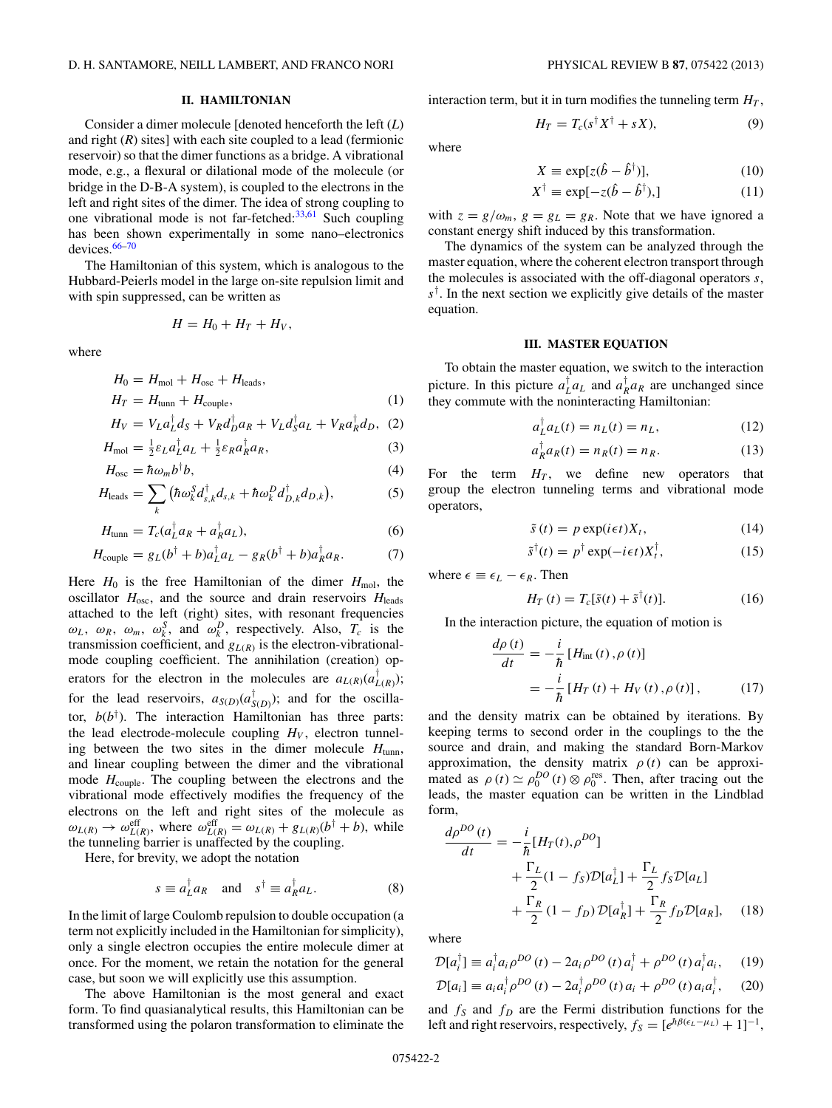# **II. HAMILTONIAN**

<span id="page-1-0"></span>Consider a dimer molecule [denoted henceforth the left (*L*) and right  $(R)$  sites] with each site coupled to a lead (fermionic reservoir) so that the dimer functions as a bridge. A vibrational mode, e.g., a flexural or dilational mode of the molecule (or bridge in the D-B-A system), is coupled to the electrons in the left and right sites of the dimer. The idea of strong coupling to one vibrational mode is not far-fetched: $33,61$  Such coupling has been shown experimentally in some nano–electronics devices.[66–70](#page-8-0)

The Hamiltonian of this system, which is analogous to the Hubbard-Peierls model in the large on-site repulsion limit and with spin suppressed, can be written as

$$
H=H_0+H_T+H_V,
$$

where

$$
H_0 = H_{\text{mol}} + H_{\text{osc}} + H_{\text{leads}},
$$
  
\n
$$
H_T = H_{\text{tunn}} + H_{\text{couple}},
$$
\n(1)

$$
H_V = V_L a_L^{\dagger} d_S + V_R a_D^{\dagger} a_R + V_L d_S^{\dagger} a_L + V_R a_R^{\dagger} d_D, \tag{2}
$$

$$
H_{\text{mol}} = \frac{1}{2} \varepsilon_L a_L^{\dagger} a_L + \frac{1}{2} \varepsilon_R a_R^{\dagger} a_R, \tag{3}
$$

$$
H_{\text{osc}} = \hbar \omega_m b^{\dagger} b,\tag{4}
$$

$$
H_{\text{leads}} = \sum_{k} \left( \hbar \omega_k^S d_{s,k}^{\dagger} d_{s,k} + \hbar \omega_k^D d_{D,k}^{\dagger} d_{D,k} \right), \tag{5}
$$

$$
H_{\text{tunn}} = T_c (a_L^{\dagger} a_R + a_R^{\dagger} a_L), \tag{6}
$$

$$
H_{\text{couple}} = g_L(b^\dagger + b)a_L^\dagger a_L - g_R(b^\dagger + b)a_R^\dagger a_R. \tag{7}
$$

Here  $H_0$  is the free Hamiltonian of the dimer  $H_{\text{mol}}$ , the oscillator  $H_{\text{osc}}$ , and the source and drain reservoirs  $H_{\text{leads}}$ attached to the left (right) sites, with resonant frequencies  $\omega_L$ ,  $\omega_R$ ,  $\omega_m$ ,  $\omega_k^S$ , and  $\omega_k^D$ , respectively. Also,  $T_c$  is the transmission coefficient, and  $g_{L(R)}$  is the electron-vibrationalmode coupling coefficient. The annihilation (creation) operators for the electron in the molecules are  $a_{L(R)}(a_{L(R)}^{\dagger})$ ; for the lead reservoirs,  $a_{S(D)}(a_{S(D)}^{\dagger})$ ; and for the oscillator,  $b(b^{\dagger})$ . The interaction Hamiltonian has three parts: the lead electrode-molecule coupling  $H_V$ , electron tunneling between the two sites in the dimer molecule  $H_{\text{tunn}}$ , and linear coupling between the dimer and the vibrational mode  $H_{\text{couple}}$ . The coupling between the electrons and the vibrational mode effectively modifies the frequency of the electrons on the left and right sites of the molecule as  $\omega_{L(R)} \to \omega_{L(R)}^{\text{eff}}$ , where  $\omega_{L(R)}^{\text{eff}} = \omega_{L(R)} + g_{L(R)}(b^{\dagger} + b)$ , while the tunneling barrier is unaffected by the coupling.

Here, for brevity, we adopt the notation

$$
s \equiv a_L^{\dagger} a_R \quad \text{and} \quad s^{\dagger} \equiv a_R^{\dagger} a_L. \tag{8}
$$

In the limit of large Coulomb repulsion to double occupation (a term not explicitly included in the Hamiltonian for simplicity), only a single electron occupies the entire molecule dimer at once. For the moment, we retain the notation for the general case, but soon we will explicitly use this assumption.

The above Hamiltonian is the most general and exact form. To find quasianalytical results, this Hamiltonian can be transformed using the polaron transformation to eliminate the

interaction term, but it in turn modifies the tunneling term  $H_T$ ,

$$
H_T = T_c(s^\dagger X^\dagger + sX),\tag{9}
$$

where

$$
X \equiv \exp[z(\hat{b} - \hat{b}^{\dagger})], \tag{10}
$$

$$
X^{\dagger} \equiv \exp[-z(\hat{b} - \hat{b}^{\dagger}),]
$$
 (11)

with  $z = g/\omega_m$ ,  $g = g_L = g_R$ . Note that we have ignored a constant energy shift induced by this transformation.

The dynamics of the system can be analyzed through the master equation, where the coherent electron transport through the molecules is associated with the off-diagonal operators *s*, *s*† . In the next section we explicitly give details of the master equation.

# **III. MASTER EQUATION**

To obtain the master equation, we switch to the interaction picture. In this picture  $a_L^{\dagger} a_L$  and  $a_R^{\dagger} a_R$  are unchanged since they commute with the noninteracting Hamiltonian:

$$
a_L^{\dagger} a_L(t) = n_L(t) = n_L, \tag{12}
$$

$$
a_R^{\dagger} a_R(t) = n_R(t) = n_R. \tag{13}
$$

For the term  $H_T$ , we define new operators that group the electron tunneling terms and vibrational mode operators,

$$
\tilde{s}(t) = p \exp(i\epsilon t)X_t, \qquad (14)
$$

$$
\tilde{s}^{\dagger}(t) = p^{\dagger} \exp(-i\epsilon t) X_t^{\dagger},\tag{15}
$$

where  $\epsilon \equiv \epsilon_L - \epsilon_R$ . Then

$$
H_T(t) = T_c[\tilde{s}(t) + \tilde{s}^\dagger(t)].
$$
\n(16)

In the interaction picture, the equation of motion is

$$
\frac{d\rho(t)}{dt} = -\frac{i}{\hbar} \left[ H_{\text{int}}(t), \rho(t) \right]
$$

$$
= -\frac{i}{\hbar} \left[ H_T(t) + H_V(t), \rho(t) \right], \tag{17}
$$

and the density matrix can be obtained by iterations. By keeping terms to second order in the couplings to the the source and drain, and making the standard Born-Markov approximation, the density matrix  $\rho(t)$  can be approximated as  $\rho(t) \simeq \rho_0^{DO}(t) \otimes \rho_0^{\text{res}}$ . Then, after tracing out the leads, the master equation can be written in the Lindblad form,

$$
\frac{d\rho^{DO}(t)}{dt} = -\frac{i}{\hbar} [H_T(t), \rho^{DO}]
$$
  
+ 
$$
\frac{\Gamma_L}{2} (1 - f_S) \mathcal{D}[a_L^{\dagger}] + \frac{\Gamma_L}{2} f_S \mathcal{D}[a_L]
$$
  
+ 
$$
\frac{\Gamma_R}{2} (1 - f_D) \mathcal{D}[a_R^{\dagger}] + \frac{\Gamma_R}{2} f_D \mathcal{D}[a_R], \quad (18)
$$

where

$$
\mathcal{D}[a_i^{\dagger}] \equiv a_i^{\dagger} a_i \rho^{DO}(t) - 2a_i \rho^{DO}(t) a_i^{\dagger} + \rho^{DO}(t) a_i^{\dagger} a_i, \quad (19)
$$

$$
\mathcal{D}[a_i] \equiv a_i a_i^\dagger \rho^{DO}(t) - 2a_i^\dagger \rho^{DO}(t) a_i + \rho^{DO}(t) a_i a_i^\dagger, \quad (20)
$$

and  $f_S$  and  $f_D$  are the Fermi distribution functions for the left and right reservoirs, respectively,  $f_S = [e^{\hbar \beta(\epsilon_L - \mu_L)} + 1]^{-1}$ ,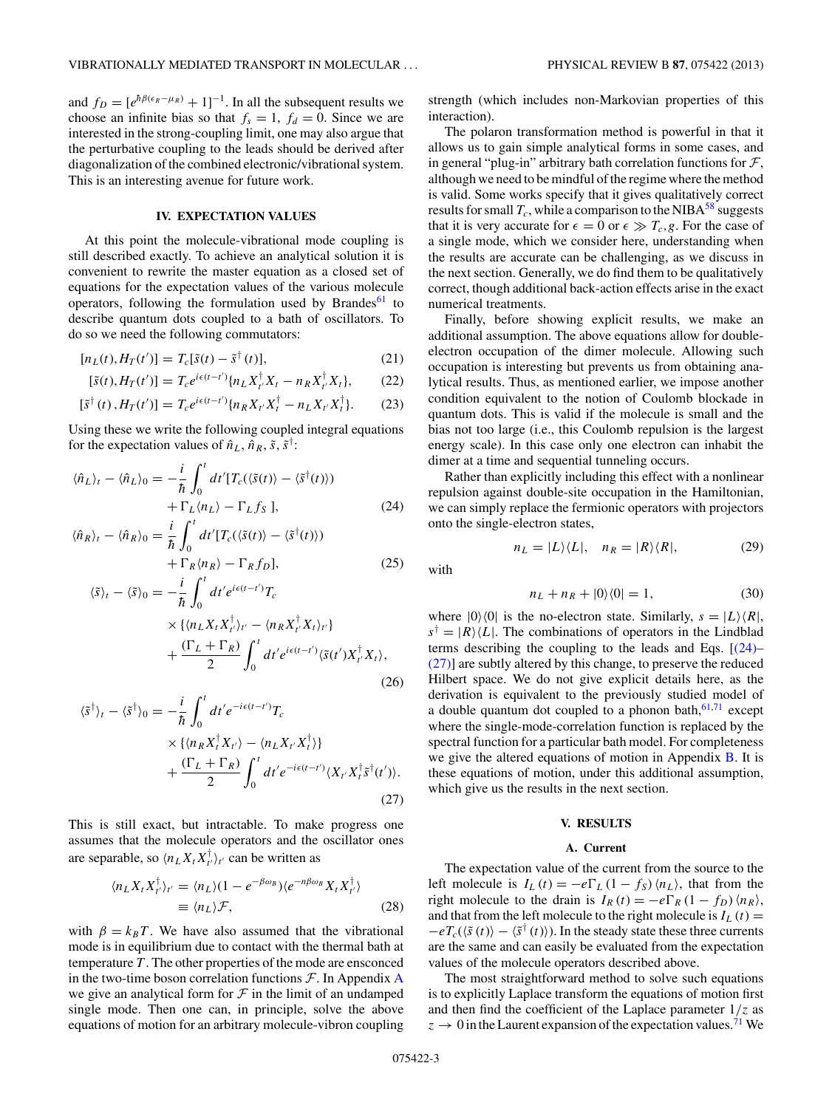<span id="page-2-0"></span>and  $f_D = [e^{\hbar \beta(\epsilon_R - \mu_R)} + 1]^{-1}$ . In all the subsequent results we choose an infinite bias so that  $f_s = 1$ ,  $f_d = 0$ . Since we are interested in the strong-coupling limit, one may also argue that the perturbative coupling to the leads should be derived after diagonalization of the combined electronic/vibrational system. This is an interesting avenue for future work.

#### **IV. EXPECTATION VALUES**

At this point the molecule-vibrational mode coupling is still described exactly. To achieve an analytical solution it is convenient to rewrite the master equation as a closed set of equations for the expectation values of the various molecule operators, following the formulation used by Brandes<sup>[61](#page-8-0)</sup> to describe quantum dots coupled to a bath of oscillators. To do so we need the following commutators:

$$
[n_L(t), H_T(t')] = T_c[\tilde{s}(t) - \tilde{s}^\dagger(t)], \qquad (21)
$$

$$
[\tilde{s}(t), H_T(t')] = T_c e^{i\epsilon(t-t')} \{n_L X_{t'}^\dagger X_t - n_R X_{t'}^\dagger X_t\},\qquad(22)
$$

$$
[\tilde{s}^{\dagger}(t), H_T(t')] = T_c e^{i\epsilon(t-t')} \{n_R X_{t'} X_t^{\dagger} - n_L X_{t'} X_t^{\dagger}\}.
$$
 (23)

Using these we write the following coupled integral equations for the expectation values of  $\hat{n}_L$ ,  $\hat{n}_R$ ,  $\tilde{s}$ ,  $\tilde{s}^{\dagger}$ :

$$
\langle \hat{n}_L \rangle_t - \langle \hat{n}_L \rangle_0 = -\frac{i}{\hbar} \int_0^t dt' [T_c(\langle \tilde{s}(t) \rangle - \langle \tilde{s}^\dagger(t) \rangle) + \Gamma_L \langle n_L \rangle - \Gamma_L f_S], \tag{24}
$$

$$
\langle \hat{n}_R \rangle_t - \langle \hat{n}_R \rangle_0 = \frac{i}{\hbar} \int_0^t dt' [T_c(\langle \tilde{s}(t) \rangle - \langle \tilde{s}^\dagger(t) \rangle) + \Gamma_R \langle n_R \rangle - \Gamma_R f_D], \tag{25}
$$

$$
\langle \tilde{s} \rangle_t - \langle \tilde{s} \rangle_0 = -\frac{i}{\hbar} \int_0^t dt' e^{i\epsilon(t-t')} T_c
$$
  
 
$$
\times \{ \langle n_L X_t X_{t'}^{\dagger} \rangle_{t'} - \langle n_R X_{t'}^{\dagger} X_t \rangle_{t'} \} + \frac{(\Gamma_L + \Gamma_R)}{2} \int_0^t dt' e^{i\epsilon(t-t')} \langle \tilde{s}(t') X_{t'}^{\dagger} X_t \rangle, \tag{26}
$$

$$
\langle \tilde{s}^{\dagger} \rangle_{t} - \langle \tilde{s}^{\dagger} \rangle_{0} = -\frac{i}{\hbar} \int_{0}^{t} dt' e^{-i\epsilon(t-t')} T_{c}
$$
  
 
$$
\times \{ \langle n_{R} X_{t}^{\dagger} X_{t'} \rangle - \langle n_{L} X_{t'} X_{t}^{\dagger} \rangle \}
$$
  
 
$$
+ \frac{(\Gamma_{L} + \Gamma_{R})}{2} \int_{0}^{t} dt' e^{-i\epsilon(t-t')} \langle X_{t'} X_{t}^{\dagger} \tilde{s}^{\dagger} (t') \rangle.
$$
 (27)

This is still exact, but intractable. To make progress one assumes that the molecule operators and the oscillator ones are separable, so  $\langle n_L X_t X_{t'}^{\dagger} \rangle_{t'}$  can be written as

$$
\langle n_L X_t X_{t'}^{\dagger} \rangle_{t'} = \langle n_L \rangle (1 - e^{-\beta \omega_B}) \langle e^{-n \beta \omega_B} X_t X_{t'}^{\dagger} \rangle
$$
  

$$
\equiv \langle n_L \rangle \mathcal{F}, \qquad (28)
$$

with  $\beta = k_B T$ . We have also assumed that the vibrational mode is in equilibrium due to contact with the thermal bath at temperature *T* . The other properties of the mode are ensconced in the two-time boson correlation functions  $\mathcal F$ . In [A](#page-6-0)ppendix A we give an analytical form for  $\mathcal F$  in the limit of an undamped single mode. Then one can, in principle, solve the above equations of motion for an arbitrary molecule-vibron coupling

strength (which includes non-Markovian properties of this interaction).

The polaron transformation method is powerful in that it allows us to gain simple analytical forms in some cases, and in general "plug-in" arbitrary bath correlation functions for  $\mathcal{F}$ , although we need to be mindful of the regime where the method is valid. Some works specify that it gives qualitatively correct results for small  $T_c$ , while a comparison to the NIBA<sup>58</sup> suggests that it is very accurate for  $\epsilon = 0$  or  $\epsilon \gg T_c$ , g. For the case of a single mode, which we consider here, understanding when the results are accurate can be challenging, as we discuss in the next section. Generally, we do find them to be qualitatively correct, though additional back-action effects arise in the exact numerical treatments.

Finally, before showing explicit results, we make an additional assumption. The above equations allow for doubleelectron occupation of the dimer molecule. Allowing such occupation is interesting but prevents us from obtaining analytical results. Thus, as mentioned earlier, we impose another condition equivalent to the notion of Coulomb blockade in quantum dots. This is valid if the molecule is small and the bias not too large (i.e., this Coulomb repulsion is the largest energy scale). In this case only one electron can inhabit the dimer at a time and sequential tunneling occurs.

Rather than explicitly including this effect with a nonlinear repulsion against double-site occupation in the Hamiltonian, we can simply replace the fermionic operators with projectors onto the single-electron states,

$$
n_L = |L\rangle\langle L|, \quad n_R = |R\rangle\langle R|,\tag{29}
$$

with

$$
n_L + n_R + |0\rangle\langle 0| = 1,\tag{30}
$$

where  $|0\rangle\langle0|$  is the no-electron state. Similarly,  $s = |L\rangle\langle R|$ ,  $s^{\dagger} = |R\rangle\langle L|$ . The combinations of operators in the Lindblad terms describing the coupling to the leads and Eqs. [(24)– (27)] are subtly altered by this change, to preserve the reduced Hilbert space. We do not give explicit details here, as the derivation is equivalent to the previously studied model of a double quantum dot coupled to a phonon bath,  $61,71$  except where the single-mode-correlation function is replaced by the spectral function for a particular bath model. For completeness we give the altered equations of motion in Appendix [B.](#page-7-0) It is these equations of motion, under this additional assumption, which give us the results in the next section.

## **V. RESULTS**

#### **A. Current**

The expectation value of the current from the source to the left molecule is  $I_L(t) = -e\Gamma_L(1 - f_S)\langle n_L \rangle$ , that from the right molecule to the drain is  $I_R(t) = -e\Gamma_R(1 - f_D)\langle n_R \rangle$ , and that from the left molecule to the right molecule is  $I_L(t)$  =  $-eT_c(\langle \tilde{s}(t) \rangle - \langle \tilde{s}^\dagger(t) \rangle)$ . In the steady state these three currents are the same and can easily be evaluated from the expectation values of the molecule operators described above.

The most straightforward method to solve such equations is to explicitly Laplace transform the equations of motion first and then find the coefficient of the Laplace parameter  $1/z$  as  $z \rightarrow 0$  in the Laurent expansion of the expectation values.<sup>71</sup> We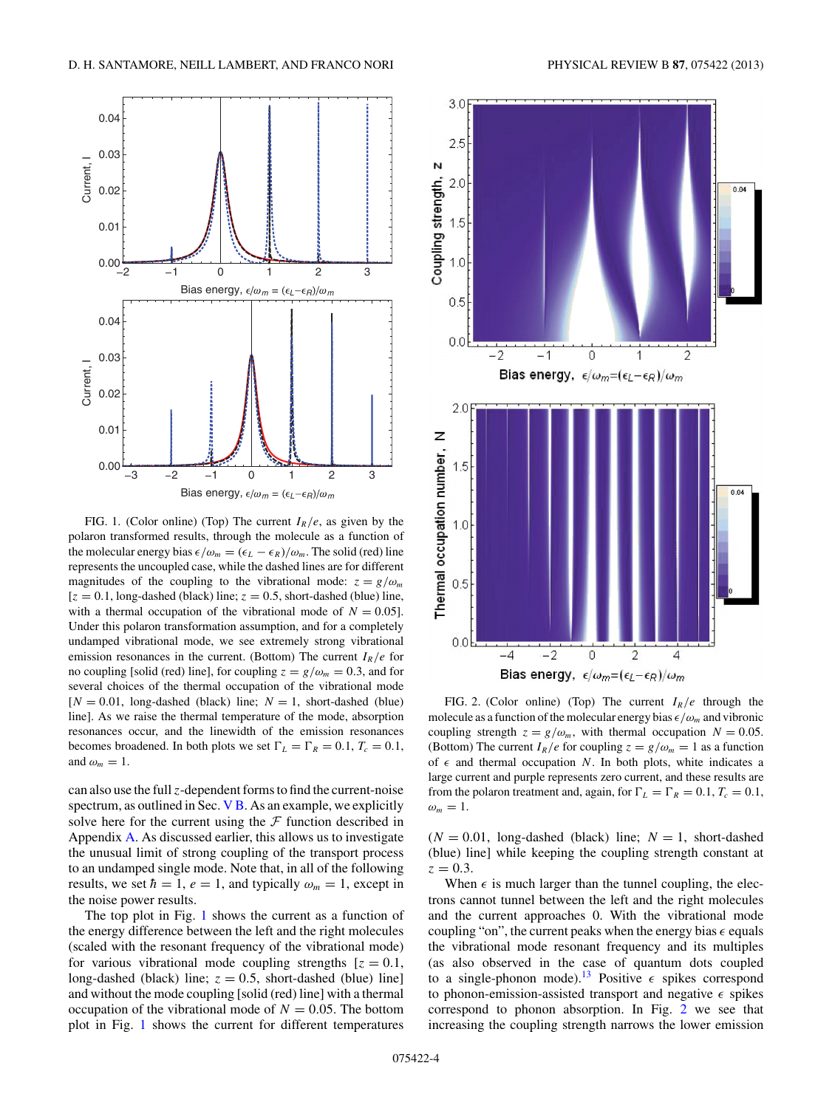<span id="page-3-0"></span>

FIG. 1. (Color online) (Top) The current  $I_R/e$ , as given by the polaron transformed results, through the molecule as a function of the molecular energy bias  $\epsilon/\omega_m = (\epsilon_L - \epsilon_R)/\omega_m$ . The solid (red) line represents the uncoupled case, while the dashed lines are for different magnitudes of the coupling to the vibrational mode:  $z = g/\omega_m$  $[z = 0.1, \text{long-dashed (black) line}; z = 0.5, \text{short-dashed (blue) line}$ with a thermal occupation of the vibrational mode of  $N = 0.05$ . Under this polaron transformation assumption, and for a completely undamped vibrational mode, we see extremely strong vibrational emission resonances in the current. (Bottom) The current  $I_R/e$  for no coupling [solid (red) line], for coupling  $z = g/\omega_m = 0.3$ , and for several choices of the thermal occupation of the vibrational mode  $[N = 0.01, \text{ long-dashed (black) line}; N = 1, \text{ short-dashed (blue)}$ line]. As we raise the thermal temperature of the mode, absorption resonances occur, and the linewidth of the emission resonances becomes broadened. In both plots we set  $\Gamma_L = \Gamma_R = 0.1$ ,  $T_c = 0.1$ , and  $\omega_m = 1$ .

can also use the full *z*-dependent forms to find the current-noise spectrum, as outlined in Sec. [V B.](#page-4-0) As an example, we explicitly solve here for the current using the  $\mathcal F$  function described in Appendix [A.](#page-6-0) As discussed earlier, this allows us to investigate the unusual limit of strong coupling of the transport process to an undamped single mode. Note that, in all of the following results, we set  $\hbar = 1$ ,  $e = 1$ , and typically  $\omega_m = 1$ , except in the noise power results.

The top plot in Fig. 1 shows the current as a function of the energy difference between the left and the right molecules (scaled with the resonant frequency of the vibrational mode) for various vibrational mode coupling strengths  $[z = 0.1,$ long-dashed (black) line;  $z = 0.5$ , short-dashed (blue) line] and without the mode coupling [solid (red) line] with a thermal occupation of the vibrational mode of  $N = 0.05$ . The bottom plot in Fig. 1 shows the current for different temperatures



FIG. 2. (Color online) (Top) The current  $I_R/e$  through the molecule as a function of the molecular energy bias  $\epsilon/\omega_m$  and vibronic coupling strength  $z = g/\omega_m$ , with thermal occupation  $N = 0.05$ . (Bottom) The current  $I_R/e$  for coupling  $z = g/\omega_m = 1$  as a function of  $\epsilon$  and thermal occupation *N*. In both plots, white indicates a large current and purple represents zero current, and these results are from the polaron treatment and, again, for  $\Gamma_L = \Gamma_R = 0.1$ ,  $T_c = 0.1$ ,  $\omega_m=1$ .

 $(N = 0.01, \text{ long-dashed (black) line}; N = 1, \text{ short-dashed}$ (blue) line] while keeping the coupling strength constant at  $z = 0.3$ .

When  $\epsilon$  is much larger than the tunnel coupling, the electrons cannot tunnel between the left and the right molecules and the current approaches 0. With the vibrational mode coupling "on", the current peaks when the energy bias  $\epsilon$  equals the vibrational mode resonant frequency and its multiples (as also observed in the case of quantum dots coupled to a single-phonon mode).<sup>13</sup> Positive  $\epsilon$  spikes correspond to phonon-emission-assisted transport and negative  $\epsilon$  spikes correspond to phonon absorption. In Fig. 2 we see that increasing the coupling strength narrows the lower emission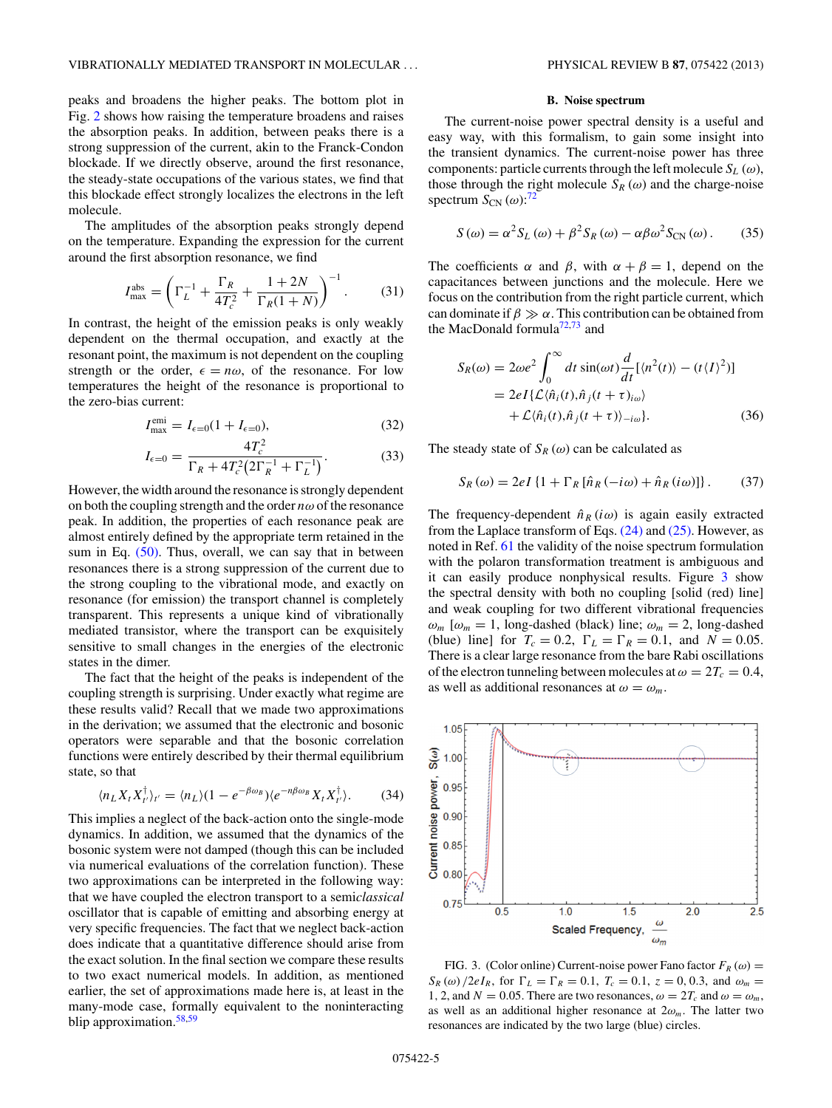<span id="page-4-0"></span>peaks and broadens the higher peaks. The bottom plot in Fig. [2](#page-3-0) shows how raising the temperature broadens and raises the absorption peaks. In addition, between peaks there is a strong suppression of the current, akin to the Franck-Condon blockade. If we directly observe, around the first resonance, the steady-state occupations of the various states, we find that this blockade effect strongly localizes the electrons in the left molecule.

The amplitudes of the absorption peaks strongly depend on the temperature. Expanding the expression for the current around the first absorption resonance, we find

$$
I_{\text{max}}^{\text{abs}} = \left(\Gamma_L^{-1} + \frac{\Gamma_R}{4T_c^2} + \frac{1+2N}{\Gamma_R(1+N)}\right)^{-1}.
$$
 (31)

In contrast, the height of the emission peaks is only weakly dependent on the thermal occupation, and exactly at the resonant point, the maximum is not dependent on the coupling strength or the order,  $\epsilon = n\omega$ , of the resonance. For low temperatures the height of the resonance is proportional to the zero-bias current:

$$
I_{\text{max}}^{\text{emi}} = I_{\epsilon=0}(1 + I_{\epsilon=0}),\tag{32}
$$

$$
I_{\epsilon=0} = \frac{4T_c^2}{\Gamma_R + 4T_c^2 \left(2\Gamma_R^{-1} + \Gamma_L^{-1}\right)}.
$$
\n(33)

However, the width around the resonance is strongly dependent on both the coupling strength and the order *nω* of the resonance peak. In addition, the properties of each resonance peak are almost entirely defined by the appropriate term retained in the sum in Eq.  $(50)$ . Thus, overall, we can say that in between resonances there is a strong suppression of the current due to the strong coupling to the vibrational mode, and exactly on resonance (for emission) the transport channel is completely transparent. This represents a unique kind of vibrationally mediated transistor, where the transport can be exquisitely sensitive to small changes in the energies of the electronic states in the dimer.

The fact that the height of the peaks is independent of the coupling strength is surprising. Under exactly what regime are these results valid? Recall that we made two approximations in the derivation; we assumed that the electronic and bosonic operators were separable and that the bosonic correlation functions were entirely described by their thermal equilibrium state, so that

$$
\langle n_L X_t X_{t'}^{\dagger} \rangle_{t'} = \langle n_L \rangle (1 - e^{-\beta \omega_B}) \langle e^{-n \beta \omega_B} X_t X_{t'}^{\dagger} \rangle. \tag{34}
$$

This implies a neglect of the back-action onto the single-mode dynamics. In addition, we assumed that the dynamics of the bosonic system were not damped (though this can be included via numerical evaluations of the correlation function). These two approximations can be interpreted in the following way: that we have coupled the electron transport to a semi*classical* oscillator that is capable of emitting and absorbing energy at very specific frequencies. The fact that we neglect back-action does indicate that a quantitative difference should arise from the exact solution. In the final section we compare these results to two exact numerical models. In addition, as mentioned earlier, the set of approximations made here is, at least in the many-mode case, formally equivalent to the noninteracting blip approximation.<sup>[58,59](#page-8-0)</sup>

# **B. Noise spectrum**

The current-noise power spectral density is a useful and easy way, with this formalism, to gain some insight into the transient dynamics. The current-noise power has three components: particle currents through the left molecule  $S_L(\omega)$ , those through the right molecule  $S_R(\omega)$  and the charge-noise spectrum  $S_{CN}(\omega)$ :<sup>[72](#page-8-0)</sup>

$$
S(\omega) = \alpha^2 S_L(\omega) + \beta^2 S_R(\omega) - \alpha \beta \omega^2 S_{CN}(\omega). \tag{35}
$$

The coefficients  $\alpha$  and  $\beta$ , with  $\alpha + \beta = 1$ , depend on the capacitances between junctions and the molecule. Here we focus on the contribution from the right particle current, which can dominate if  $\beta \gg \alpha$ . This contribution can be obtained from the MacDonald formula<sup>72,73</sup> and

$$
S_R(\omega) = 2\omega e^2 \int_0^\infty dt \sin(\omega t) \frac{d}{dt} [\langle n^2(t) \rangle - (t \langle I \rangle^2)]
$$
  
= 2eI{ $\mathcal{L} \langle \hat{n}_i(t), \hat{n}_j(t + \tau)_{i\omega} \rangle$   
+  $\mathcal{L} \langle \hat{n}_i(t), \hat{n}_j(t + \tau) \rangle_{-i\omega}$ }. (36)

The steady state of  $S_R(\omega)$  can be calculated as

$$
S_R(\omega) = 2eI\left\{1 + \Gamma_R[\hat{n}_R(-i\omega) + \hat{n}_R(i\omega)]\right\}.
$$
 (37)

The frequency-dependent  $\hat{n}_R(i\omega)$  is again easily extracted from the Laplace transform of Eqs. [\(24\)](#page-2-0) and [\(25\).](#page-2-0) However, as noted in Ref. [61](#page-8-0) the validity of the noise spectrum formulation with the polaron transformation treatment is ambiguous and it can easily produce nonphysical results. Figure 3 show the spectral density with both no coupling [solid (red) line] and weak coupling for two different vibrational frequencies  $\omega_m$  [ $\omega_m = 1$ , long-dashed (black) line;  $\omega_m = 2$ , long-dashed (blue) line] for  $T_c = 0.2$ ,  $\Gamma_L = \Gamma_R = 0.1$ , and  $N = 0.05$ . There is a clear large resonance from the bare Rabi oscillations of the electron tunneling between molecules at  $\omega = 2T_c = 0.4$ , as well as additional resonances at  $\omega = \omega_m$ .

FIG. 3. (Color online) Current-noise power Fano factor  $F_R(\omega)$  =  $S_R(\omega)/2eI_R$ , for  $\Gamma_L = \Gamma_R = 0.1$ ,  $T_c = 0.1$ ,  $z = 0, 0.3$ , and  $\omega_m =$ 1, 2, and  $N = 0.05$ . There are two resonances,  $\omega = 2T_c$  and  $\omega = \omega_m$ , as well as an additional higher resonance at  $2\omega_m$ . The latter two resonances are indicated by the two large (blue) circles.

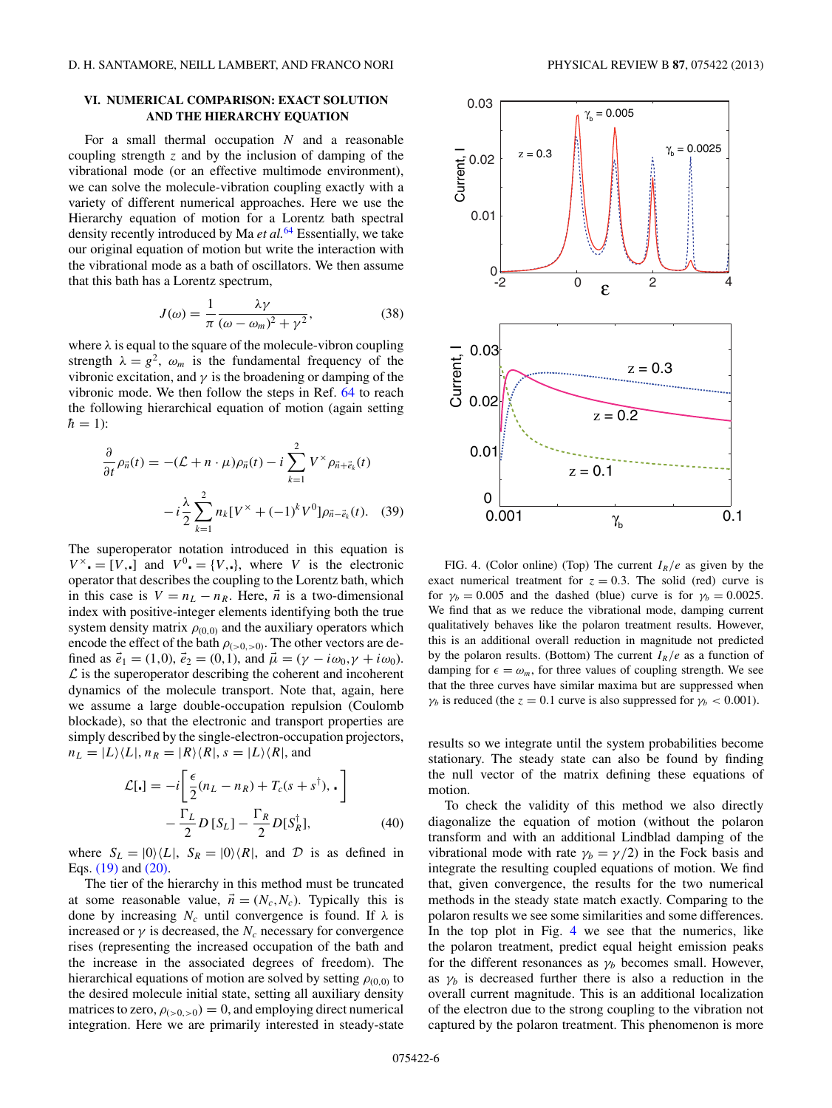# <span id="page-5-0"></span>**VI. NUMERICAL COMPARISON: EXACT SOLUTION AND THE HIERARCHY EQUATION**

For a small thermal occupation *N* and a reasonable coupling strength *z* and by the inclusion of damping of the vibrational mode (or an effective multimode environment), we can solve the molecule-vibration coupling exactly with a variety of different numerical approaches. Here we use the Hierarchy equation of motion for a Lorentz bath spectral density recently introduced by Ma *et al.*[64](#page-8-0) Essentially, we take our original equation of motion but write the interaction with the vibrational mode as a bath of oscillators. We then assume that this bath has a Lorentz spectrum,

$$
J(\omega) = \frac{1}{\pi} \frac{\lambda \gamma}{(\omega - \omega_m)^2 + \gamma^2},
$$
 (38)

where  $\lambda$  is equal to the square of the molecule-vibron coupling strength  $\lambda = g^2$ ,  $\omega_m$  is the fundamental frequency of the vibronic excitation, and  $\gamma$  is the broadening or damping of the vibronic mode. We then follow the steps in Ref. [64](#page-8-0) to reach the following hierarchical equation of motion (again setting  $\hbar = 1$ :

$$
\frac{\partial}{\partial t}\rho_{\vec{n}}(t) = -(\mathcal{L} + n \cdot \mu)\rho_{\vec{n}}(t) - i \sum_{k=1}^{2} V^{\times} \rho_{\vec{n} + \vec{e}_k}(t)
$$

$$
- i \frac{\lambda}{2} \sum_{k=1}^{2} n_k [V^{\times} + (-1)^k V^0] \rho_{\vec{n} - \vec{e}_k}(t). \quad (39)
$$

The superoperator notation introduced in this equation is  $V^{\times}$  = [*V*,.] and  $V^{0}$  = {*V*,.}, where *V* is the electronic operator that describes the coupling to the Lorentz bath, which in this case is  $V = n_L - n_R$ . Here,  $\vec{n}$  is a two-dimensional index with positive-integer elements identifying both the true system density matrix  $\rho_{(0,0)}$  and the auxiliary operators which encode the effect of the bath  $\rho_{(>0,>0)}$ . The other vectors are defined as  $\vec{e}_1 = (1,0), \vec{e}_2 = (0,1),$  and  $\vec{\mu} = (\gamma - i\omega_0, \gamma + i\omega_0)$ .  $\mathcal L$  is the superoperator describing the coherent and incoherent dynamics of the molecule transport. Note that, again, here we assume a large double-occupation repulsion (Coulomb blockade), so that the electronic and transport properties are simply described by the single-electron-occupation projectors,  $n_L = |L\rangle\langle L|, n_R = |R\rangle\langle R|, s = |L\rangle\langle R|, s$ 

$$
\mathcal{L}[\cdot] = -i \left[ \frac{\epsilon}{2} (n_L - n_R) + T_c (s + s^{\dagger}), \cdot \right] \n- \frac{\Gamma_L}{2} D \left[ S_L \right] - \frac{\Gamma_R}{2} D \left[ S_R^{\dagger} \right],
$$
\n(40)

where  $S_L = |0\rangle \langle L|$ ,  $S_R = |0\rangle \langle R|$ , and  $D$  is as defined in Eqs. [\(19\)](#page-1-0) and [\(20\).](#page-1-0)

The tier of the hierarchy in this method must be truncated at some reasonable value,  $\vec{n} = (N_c, N_c)$ . Typically this is done by increasing  $N_c$  until convergence is found. If  $\lambda$  is increased or  $\gamma$  is decreased, the  $N_c$  necessary for convergence rises (representing the increased occupation of the bath and the increase in the associated degrees of freedom). The hierarchical equations of motion are solved by setting  $\rho_{(0,0)}$  to the desired molecule initial state, setting all auxiliary density matrices to zero,  $\rho_{(>0,>0)} = 0$ , and employing direct numerical integration. Here we are primarily interested in steady-state



FIG. 4. (Color online) (Top) The current *IR/e* as given by the exact numerical treatment for  $z = 0.3$ . The solid (red) curve is for  $\gamma_b = 0.005$  and the dashed (blue) curve is for  $\gamma_b = 0.0025$ . We find that as we reduce the vibrational mode, damping current qualitatively behaves like the polaron treatment results. However, this is an additional overall reduction in magnitude not predicted by the polaron results. (Bottom) The current  $I_R/e$  as a function of damping for  $\epsilon = \omega_m$ , for three values of coupling strength. We see that the three curves have similar maxima but are suppressed when *γ<sub>b</sub>* is reduced (the *z* = 0.1 curve is also suppressed for  $\gamma_b$  < 0.001).

results so we integrate until the system probabilities become stationary. The steady state can also be found by finding the null vector of the matrix defining these equations of motion.

To check the validity of this method we also directly diagonalize the equation of motion (without the polaron transform and with an additional Lindblad damping of the vibrational mode with rate  $\gamma_b = \gamma/2$ ) in the Fock basis and integrate the resulting coupled equations of motion. We find that, given convergence, the results for the two numerical methods in the steady state match exactly. Comparing to the polaron results we see some similarities and some differences. In the top plot in Fig. 4 we see that the numerics, like the polaron treatment, predict equal height emission peaks for the different resonances as  $\gamma_b$  becomes small. However, as  $\gamma_b$  is decreased further there is also a reduction in the overall current magnitude. This is an additional localization of the electron due to the strong coupling to the vibration not captured by the polaron treatment. This phenomenon is more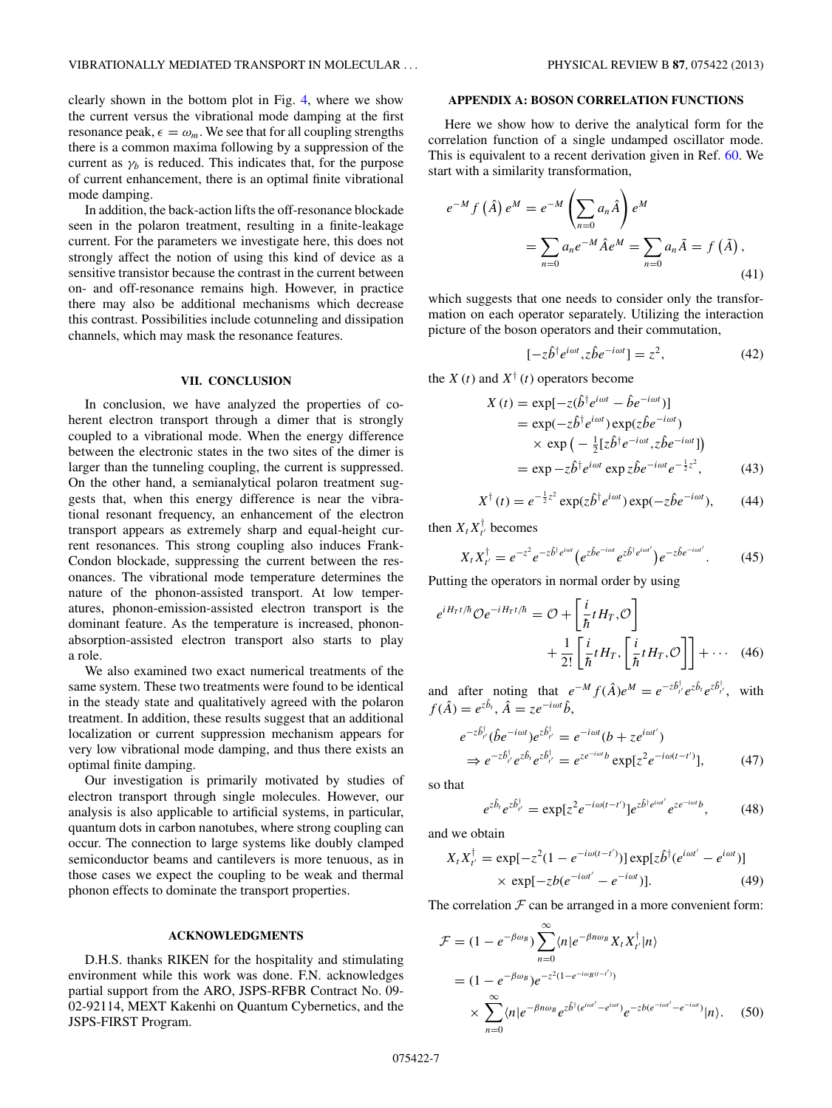<span id="page-6-0"></span>clearly shown in the bottom plot in Fig. [4,](#page-5-0) where we show the current versus the vibrational mode damping at the first resonance peak,  $\epsilon = \omega_m$ . We see that for all coupling strengths there is a common maxima following by a suppression of the current as  $\gamma_b$  is reduced. This indicates that, for the purpose of current enhancement, there is an optimal finite vibrational mode damping.

In addition, the back-action lifts the off-resonance blockade seen in the polaron treatment, resulting in a finite-leakage current. For the parameters we investigate here, this does not strongly affect the notion of using this kind of device as a sensitive transistor because the contrast in the current between on- and off-resonance remains high. However, in practice there may also be additional mechanisms which decrease this contrast. Possibilities include cotunneling and dissipation channels, which may mask the resonance features.

#### **VII. CONCLUSION**

In conclusion, we have analyzed the properties of coherent electron transport through a dimer that is strongly coupled to a vibrational mode. When the energy difference between the electronic states in the two sites of the dimer is larger than the tunneling coupling, the current is suppressed. On the other hand, a semianalytical polaron treatment suggests that, when this energy difference is near the vibrational resonant frequency, an enhancement of the electron transport appears as extremely sharp and equal-height current resonances. This strong coupling also induces Frank-Condon blockade, suppressing the current between the resonances. The vibrational mode temperature determines the nature of the phonon-assisted transport. At low temperatures, phonon-emission-assisted electron transport is the dominant feature. As the temperature is increased, phononabsorption-assisted electron transport also starts to play a role.

We also examined two exact numerical treatments of the same system. These two treatments were found to be identical in the steady state and qualitatively agreed with the polaron treatment. In addition, these results suggest that an additional localization or current suppression mechanism appears for very low vibrational mode damping, and thus there exists an optimal finite damping.

Our investigation is primarily motivated by studies of electron transport through single molecules. However, our analysis is also applicable to artificial systems, in particular, quantum dots in carbon nanotubes, where strong coupling can occur. The connection to large systems like doubly clamped semiconductor beams and cantilevers is more tenuous, as in those cases we expect the coupling to be weak and thermal phonon effects to dominate the transport properties.

#### **ACKNOWLEDGMENTS**

D.H.S. thanks RIKEN for the hospitality and stimulating environment while this work was done. F.N. acknowledges partial support from the ARO, JSPS-RFBR Contract No. 09- 02-92114, MEXT Kakenhi on Quantum Cybernetics, and the JSPS-FIRST Program.

# **APPENDIX A: BOSON CORRELATION FUNCTIONS**

Here we show how to derive the analytical form for the correlation function of a single undamped oscillator mode. This is equivalent to a recent derivation given in Ref. [60.](#page-8-0) We start with a similarity transformation,

$$
e^{-M} f\left(\hat{A}\right) e^{M} = e^{-M} \left(\sum_{n=0} a_{n} \hat{A}\right) e^{M}
$$
  

$$
= \sum_{n=0} a_{n} e^{-M} \hat{A} e^{M} = \sum_{n=0} a_{n} \tilde{A} = f\left(\tilde{A}\right), \tag{41}
$$

which suggests that one needs to consider only the transformation on each operator separately. Utilizing the interaction picture of the boson operators and their commutation,

$$
[-z\hat{b}^{\dagger}e^{i\omega t}, z\hat{b}e^{-i\omega t}] = z^2, \tag{42}
$$

the *X* (*t*) and  $X^{\dagger}$  (*t*) operators become

$$
X(t) = \exp[-z(\hat{b}^{\dagger}e^{i\omega t} - \hat{b}e^{-i\omega t})]
$$
  
=  $\exp(-z\hat{b}^{\dagger}e^{i\omega t})\exp(z\hat{b}e^{-i\omega t})$   
 $\times \exp(-\frac{1}{2}[z\hat{b}^{\dagger}e^{-i\omega t}, z\hat{b}e^{-i\omega t}])$   
=  $\exp(-z\hat{b}^{\dagger}e^{i\omega t}\exp z\hat{b}e^{-i\omega t}e^{-\frac{1}{2}z^2},$  (43)

$$
X^{\dagger}(t) = e^{-\frac{1}{2}z^2} \exp(z\hat{b}^{\dagger}e^{i\omega t}) \exp(-z\hat{b}e^{-i\omega t}), \qquad (44)
$$

then  $X_t X_{t'}^{\dagger}$  becomes

$$
X_t X_{t'}^{\dagger} = e^{-z^2} e^{-z^{\hat{b}^\dagger e^{i\omega t}}} \left( e^{z^{\hat{b}e^{-i\omega t}}} e^{z^{\hat{b}^\dagger e^{i\omega t'}}} \right) e^{-z^{\hat{b}e^{-i\omega t'}}}. \tag{45}
$$

Putting the operators in normal order by using

$$
e^{iH_Tt/\hbar}\mathcal{O}e^{-iH_Tt/\hbar} = \mathcal{O} + \left[\frac{i}{\hbar}tH_T,\mathcal{O}\right] + \frac{1}{2!}\left[\frac{i}{\hbar}tH_T,\left[\frac{i}{\hbar}tH_T,\mathcal{O}\right]\right] + \cdots (46)
$$

and after noting that  $e^{-M} f(\hat{A})e^{M} = e^{-z\hat{b}^{\dagger}_{t'}} e^{z\hat{b}_{t}} e^{z\hat{b}^{\dagger}_{t'}}$ , with  $f(\hat{A}) = e^{z\hat{b}_t}, \hat{A} = ze^{-i\omega t}\hat{b}$ 

$$
e^{-z\hat{b}^{\dagger}_{t'}}(\hat{b}e^{-i\omega t})e^{z\hat{b}^{\dagger}_{t'}} = e^{-i\omega t}(b + ze^{i\omega t'})
$$
  
\n
$$
\Rightarrow e^{-z\hat{b}^{\dagger}_{t'}}e^{z\hat{b}^{\dagger}_{t}}e^{z\hat{b}^{\dagger}_{t'}} = e^{ze^{-i\omega t}b}\exp[z^{2}e^{-i\omega(t-t')}],
$$
\n(47)

so that

$$
e^{z\hat{b}_t}e^{z\hat{b}_t^{\dagger}} = \exp[z^2e^{-i\omega(t-t')}]e^{z\hat{b}^{\dagger}e^{i\omega t}}e^{ze^{-i\omega t}b},\tag{48}
$$

and we obtain

$$
X_t X_{t'}^{\dagger} = \exp[-z^2(1 - e^{-i\omega(t - t')})] \exp[z\hat{b}^{\dagger}(e^{i\omega t'} - e^{i\omega t})]
$$
  
 
$$
\times \exp[-z b(e^{-i\omega t'} - e^{-i\omega t})]. \tag{49}
$$

The correlation  $F$  can be arranged in a more convenient form:

$$
\mathcal{F} = (1 - e^{-\beta \omega_B}) \sum_{n=0}^{\infty} \langle n | e^{-\beta n \omega_B} X_t X_{t'}^{\dagger} | n \rangle
$$
  
=  $(1 - e^{-\beta \omega_B}) e^{-z^2 (1 - e^{-i \omega_B (t-t')})}$   
 $\times \sum_{n=0}^{\infty} \langle n | e^{-\beta n \omega_B} e^{z \hat{b}^{\dagger} (e^{i \omega t'} - e^{i \omega t})} e^{-z b (e^{-i \omega t'} - e^{-i \omega t})} | n \rangle.$  (50)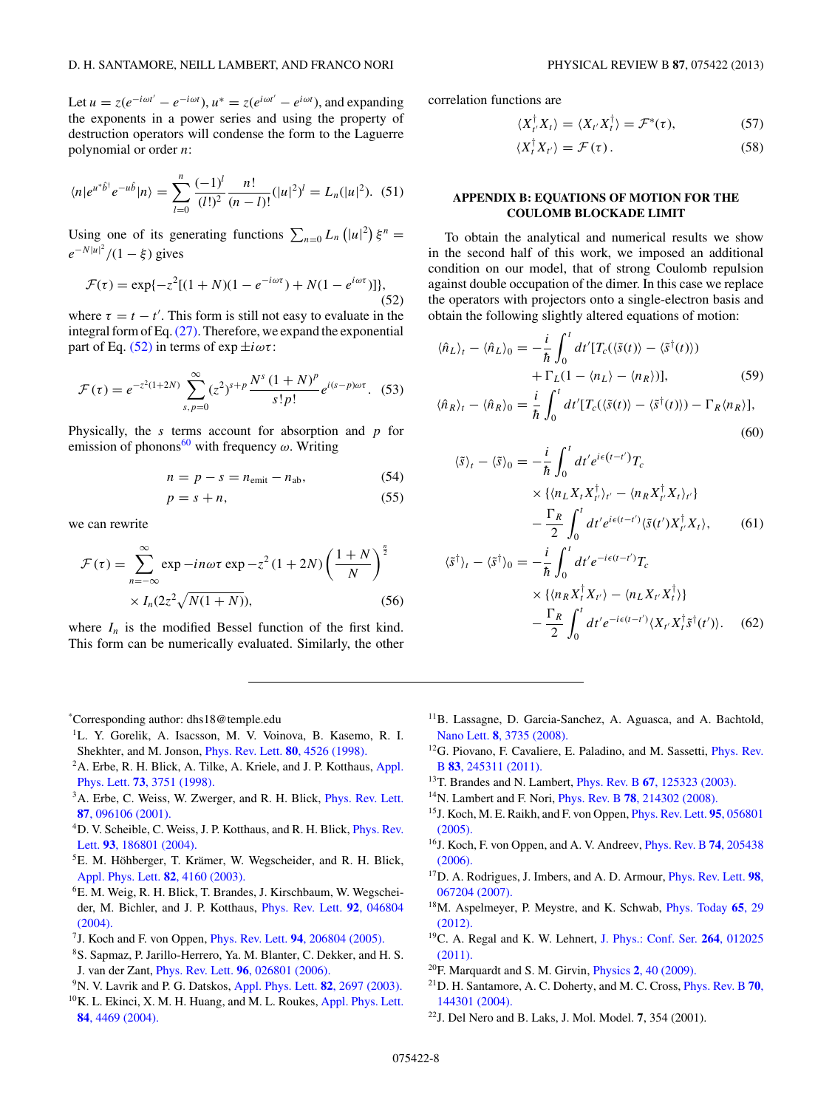<span id="page-7-0"></span>Let  $u = z(e^{-i\omega t'} - e^{-i\omega t})$ ,  $u^* = z(e^{i\omega t'} - e^{i\omega t})$ , and expanding the exponents in a power series and using the property of destruction operators will condense the form to the Laguerre polynomial or order *n*:

$$
\langle n|e^{u^*\hat{b}^\dagger}e^{-u\hat{b}}|n\rangle = \sum_{l=0}^n \frac{(-1)^l}{(l!)^2} \frac{n!}{(n-l)!} (|u|^2)^l = L_n(|u|^2). \tag{51}
$$

Using one of its generating functions  $\sum_{n=0} L_n (|u|^2) \xi^n =$  $e^{-N|u|^2}/(1 - \xi)$  gives

$$
\mathcal{F}(\tau) = \exp\{-z^2[(1+N)(1-e^{-i\omega\tau}) + N(1-e^{i\omega\tau})]\},\tag{52}
$$

where  $\tau = t - t'$ . This form is still not easy to evaluate in the integral form of Eq.  $(27)$ . Therefore, we expand the exponential part of Eq. (52) in terms of  $\exp \pm i \omega \tau$ :

$$
\mathcal{F}(\tau) = e^{-z^2(1+2N)} \sum_{s,p=0}^{\infty} (z^2)^{s+p} \frac{N^s (1+N)^p}{s! p!} e^{i(s-p)\omega \tau}.
$$
 (53)

Physically, the *s* terms account for absorption and *p* for emission of phonons<sup>[60](#page-8-0)</sup> with frequency  $\omega$ . Writing

$$
n = p - s = n_{\text{emit}} - n_{\text{ab}},\tag{54}
$$

$$
p = s + n,\tag{55}
$$

we can rewrite

$$
\mathcal{F}(\tau) = \sum_{n=-\infty}^{\infty} \exp -in\omega\tau \exp -z^2 (1+2N) \left(\frac{1+N}{N}\right)^{\frac{n}{2}}
$$

$$
\times I_n(2z^2\sqrt{N(1+N)}), \tag{56}
$$

where  $I_n$  is the modified Bessel function of the first kind. This form can be numerically evaluated. Similarly, the other

\* Corresponding author: dhs18@temple.edu

- <sup>1</sup>L. Y. Gorelik, A. Isacsson, M. V. Voinova, B. Kasemo, R. I. Shekhter, and M. Jonson, [Phys. Rev. Lett.](http://dx.doi.org/10.1103/PhysRevLett.80.4526) **80**, 4526 (1998).
- <sup>2</sup>A. Erbe, R. H. Blick, A. Tilke, A. Kriele, and J. P. Kotthaus, [Appl.](http://dx.doi.org/10.1063/1.122883) Phys. Lett. **73**[, 3751 \(1998\).](http://dx.doi.org/10.1063/1.122883)
- <sup>3</sup>A. Erbe, C. Weiss, W. Zwerger, and R. H. Blick, *[Phys. Rev. Lett.](http://dx.doi.org/10.1103/PhysRevLett.87.096106)* **87**[, 096106 \(2001\).](http://dx.doi.org/10.1103/PhysRevLett.87.096106)
- <sup>4</sup>D. V. Scheible, C. Weiss, J. P. Kotthaus, and R. H. Blick, *[Phys. Rev.](http://dx.doi.org/10.1103/PhysRevLett.93.186801)* Lett. **93**[, 186801 \(2004\).](http://dx.doi.org/10.1103/PhysRevLett.93.186801)
- ${}^{5}E$ . M. Höhberger, T. Krämer, W. Wegscheider, and R. H. Blick, [Appl. Phys. Lett.](http://dx.doi.org/10.1063/1.1580641) **82**, 4160 (2003).
- 6E. M. Weig, R. H. Blick, T. Brandes, J. Kirschbaum, W. Wegscheider, M. Bichler, and J. P. Kotthaus, [Phys. Rev. Lett.](http://dx.doi.org/10.1103/PhysRevLett.92.046804) **92**, 046804 [\(2004\).](http://dx.doi.org/10.1103/PhysRevLett.92.046804)
- 7J. Koch and F. von Oppen, Phys. Rev. Lett. **94**[, 206804 \(2005\).](http://dx.doi.org/10.1103/PhysRevLett.94.206804)
- 8S. Sapmaz, P. Jarillo-Herrero, Ya. M. Blanter, C. Dekker, and H. S. J. van der Zant, Phys. Rev. Lett. **96**[, 026801 \(2006\).](http://dx.doi.org/10.1103/PhysRevLett.96.026801)
- 9N. V. Lavrik and P. G. Datskos, [Appl. Phys. Lett.](http://dx.doi.org/10.1063/1.1569050) **82**, 2697 (2003).
- $10$ K. L. Ekinci, X. M. H. Huang, and M. L. Roukes, [Appl. Phys. Lett.](http://dx.doi.org/10.1063/1.1755417) **84**[, 4469 \(2004\).](http://dx.doi.org/10.1063/1.1755417)

correlation functions are

$$
\langle X_{t'}^{\dagger} X_t \rangle = \langle X_{t'} X_t^{\dagger} \rangle = \mathcal{F}^*(\tau), \tag{57}
$$

$$
\langle X_t^{\dagger} X_{t'} \rangle = \mathcal{F}(\tau). \tag{58}
$$

## **APPENDIX B: EQUATIONS OF MOTION FOR THE COULOMB BLOCKADE LIMIT**

To obtain the analytical and numerical results we show in the second half of this work, we imposed an additional condition on our model, that of strong Coulomb repulsion against double occupation of the dimer. In this case we replace the operators with projectors onto a single-electron basis and obtain the following slightly altered equations of motion:

$$
\langle \hat{n}_L \rangle_t - \langle \hat{n}_L \rangle_0 = -\frac{i}{\hbar} \int_0^t dt' [T_c(\langle \tilde{s}(t) \rangle - \langle \tilde{s}^\dagger(t) \rangle) + \Gamma_L(1 - \langle n_L \rangle - \langle n_R \rangle)], \tag{59}
$$

$$
\langle \hat{n}_R \rangle_t - \langle \hat{n}_R \rangle_0 = \frac{i}{\hbar} \int_0^t dt' [T_c(\langle \tilde{s}(t) \rangle - \langle \tilde{s}^\dagger(t) \rangle) - \Gamma_R \langle n_R \rangle], \tag{60}
$$

$$
\langle \tilde{s} \rangle_t - \langle \tilde{s} \rangle_0 = -\frac{i}{\hbar} \int_0^t dt' e^{i\epsilon(t-t')} T_c
$$
  
 
$$
\times \{ \langle n_L X_t X_{t'}^\dagger \rangle_{t'} - \langle n_R X_{t'}^\dagger X_t \rangle_{t'} \}
$$
  
 
$$
- \frac{\Gamma_R}{2} \int_0^t dt' e^{i\epsilon(t-t')} \langle \tilde{s}(t') X_{t'}^\dagger X_t \rangle, \qquad (61)
$$

$$
\langle \tilde{s}^{\dagger} \rangle_{t} - \langle \tilde{s}^{\dagger} \rangle_{0} = -\frac{i}{\hbar} \int_{0}^{t} dt' e^{-i\epsilon(t-t')} T_{c}
$$

$$
\times \{ \langle n_{R} X_{t}^{\dagger} X_{t'} \rangle - \langle n_{L} X_{t'} X_{t}^{\dagger} \rangle \}
$$

$$
- \frac{\Gamma_{R}}{2} \int_{0}^{t} dt' e^{-i\epsilon(t-t')} \langle X_{t'} X_{t}^{\dagger} \tilde{s}^{\dagger} (t') \rangle. \tag{62}
$$

- <sup>11</sup>B. Lassagne, D. Garcia-Sanchez, A. Aguasca, and A. Bachtold, Nano Lett. **8**[, 3735 \(2008\).](http://dx.doi.org/10.1021/nl801982v)
- <sup>12</sup>G. Piovano, F. Cavaliere, E. Paladino, and M. Sassetti, *[Phys. Rev.](http://dx.doi.org/10.1103/PhysRevB.83.245311)* B **83**[, 245311 \(2011\).](http://dx.doi.org/10.1103/PhysRevB.83.245311)
- 13T. Brandes and N. Lambert, Phys. Rev. B **67**[, 125323 \(2003\).](http://dx.doi.org/10.1103/PhysRevB.67.125323)
- 14N. Lambert and F. Nori, Phys. Rev. B **78**[, 214302 \(2008\).](http://dx.doi.org/10.1103/PhysRevB.78.214302)
- 15J. Koch, M. E. Raikh, and F. von Oppen, [Phys. Rev. Lett.](http://dx.doi.org/10.1103/PhysRevLett.95.056801) **95**, 056801 [\(2005\).](http://dx.doi.org/10.1103/PhysRevLett.95.056801)
- 16J. Koch, F. von Oppen, and A. V. Andreev, [Phys. Rev. B](http://dx.doi.org/10.1103/PhysRevB.74.205438) **74**, 205438 [\(2006\).](http://dx.doi.org/10.1103/PhysRevB.74.205438)
- 17D. A. Rodrigues, J. Imbers, and A. D. Armour, [Phys. Rev. Lett.](http://dx.doi.org/10.1103/PhysRevLett.98.067204) **98**, [067204 \(2007\).](http://dx.doi.org/10.1103/PhysRevLett.98.067204)
- 18M. Aspelmeyer, P. Meystre, and K. Schwab, [Phys. Today](http://dx.doi.org/10.1063/PT.3.1640) **65**, 29 [\(2012\).](http://dx.doi.org/10.1063/PT.3.1640)
- 19C. A. Regal and K. W. Lehnert, [J. Phys.: Conf. Ser.](http://dx.doi.org/10.1088/1742-6596/264/1/012025) **264**, 012025 [\(2011\).](http://dx.doi.org/10.1088/1742-6596/264/1/012025)
- 20F. Marquardt and S. M. Girvin, Physics **2**[, 40 \(2009\).](http://dx.doi.org/10.1103/Physics.2.40)
- 21D. H. Santamore, A. C. Doherty, and M. C. Cross, [Phys. Rev. B](http://dx.doi.org/10.1103/PhysRevB.70.144301) **70**, [144301 \(2004\).](http://dx.doi.org/10.1103/PhysRevB.70.144301)
- 22J. Del Nero and B. Laks, J. Mol. Model. **7**, 354 (2001).